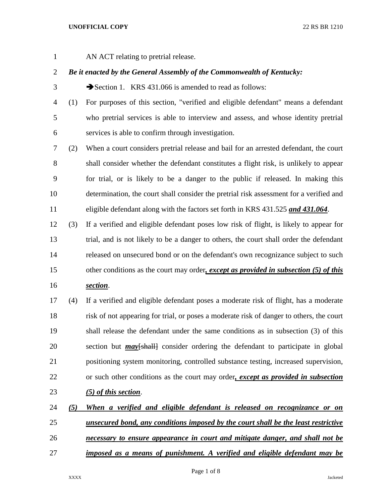AN ACT relating to pretrial release.

# *Be it enacted by the General Assembly of the Commonwealth of Kentucky:*

3 Section 1. KRS 431.066 is amended to read as follows:

 (1) For purposes of this section, "verified and eligible defendant" means a defendant who pretrial services is able to interview and assess, and whose identity pretrial services is able to confirm through investigation.

 (2) When a court considers pretrial release and bail for an arrested defendant, the court shall consider whether the defendant constitutes a flight risk, is unlikely to appear for trial, or is likely to be a danger to the public if released. In making this determination, the court shall consider the pretrial risk assessment for a verified and eligible defendant along with the factors set forth in KRS 431.525 *and 431.064*.

 (3) If a verified and eligible defendant poses low risk of flight, is likely to appear for trial, and is not likely to be a danger to others, the court shall order the defendant released on unsecured bond or on the defendant's own recognizance subject to such other conditions as the court may order*, except as provided in subsection (5) of this* 

*section*.

 (4) If a verified and eligible defendant poses a moderate risk of flight, has a moderate risk of not appearing for trial, or poses a moderate risk of danger to others, the court shall release the defendant under the same conditions as in subsection (3) of this 20 section but *may* [shall] consider ordering the defendant to participate in global positioning system monitoring, controlled substance testing, increased supervision, or such other conditions as the court may order*, except as provided in subsection (5) of this section*.

 *(5) When a verified and eligible defendant is released on recognizance or on unsecured bond, any conditions imposed by the court shall be the least restrictive necessary to ensure appearance in court and mitigate danger, and shall not be imposed as a means of punishment. A verified and eligible defendant may be*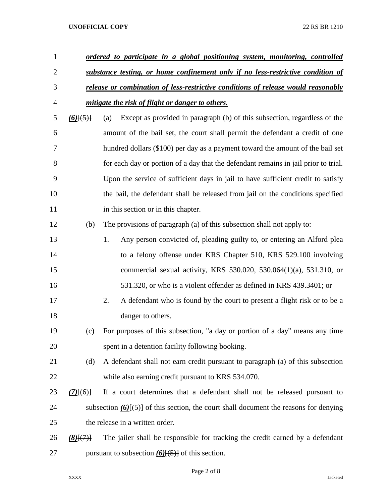| $\mathbf{1}$   |                                   | <u>ordered to participate in a global positioning system, monitoring, controlled</u>         |
|----------------|-----------------------------------|----------------------------------------------------------------------------------------------|
| $\overline{2}$ |                                   | substance testing, or home confinement only if no less-restrictive condition of              |
| 3              |                                   | release or combination of less-restrictive conditions of release would reasonably            |
| 4              |                                   | mitigate the risk of flight or danger to others.                                             |
| 5              | $\underline{(6)}[\overline{(5)}]$ | Except as provided in paragraph (b) of this subsection, regardless of the<br>(a)             |
| 6              |                                   | amount of the bail set, the court shall permit the defendant a credit of one                 |
| 7              |                                   | hundred dollars (\$100) per day as a payment toward the amount of the bail set               |
| 8              |                                   | for each day or portion of a day that the defendant remains in jail prior to trial.          |
| 9              |                                   | Upon the service of sufficient days in jail to have sufficient credit to satisfy             |
| 10             |                                   | the bail, the defendant shall be released from jail on the conditions specified              |
| 11             |                                   | in this section or in this chapter.                                                          |
| 12             | (b)                               | The provisions of paragraph (a) of this subsection shall not apply to:                       |
| 13             |                                   | Any person convicted of, pleading guilty to, or entering an Alford plea<br>1.                |
| 14             |                                   | to a felony offense under KRS Chapter 510, KRS 529.100 involving                             |
| 15             |                                   | commercial sexual activity, KRS 530.020, 530.064(1)(a), 531.310, or                          |
| 16             |                                   | 531.320, or who is a violent offender as defined in KRS 439.3401; or                         |
| 17             |                                   | 2.<br>A defendant who is found by the court to present a flight risk or to be a              |
| 18             |                                   | danger to others.                                                                            |
| 19             | (c)                               | For purposes of this subsection, "a day or portion of a day" means any time                  |
| 20             |                                   | spent in a detention facility following booking.                                             |
| 21             | (d)                               | A defendant shall not earn credit pursuant to paragraph (a) of this subsection               |
| 22             |                                   | while also earning credit pursuant to KRS 534.070.                                           |
| 23             | $(7)$ [(6)]                       | If a court determines that a defendant shall not be released pursuant to                     |
| 24             |                                   | subsection $(6)$ { $(5)$ } of this section, the court shall document the reasons for denying |
| 25             |                                   | the release in a written order.                                                              |
| 26             | (8)(7)                            | The jailer shall be responsible for tracking the credit earned by a defendant                |
| 27             |                                   | pursuant to subsection $(6)(5)$ of this section.                                             |

Page 2 of 8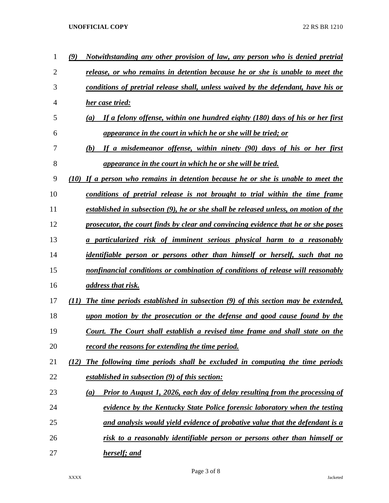| 1              | Notwithstanding any other provision of law, any person who is denied pretrial<br>(9)      |
|----------------|-------------------------------------------------------------------------------------------|
| $\overline{2}$ | release, or who remains in detention because he or she is unable to meet the              |
| 3              | conditions of pretrial release shall, unless waived by the defendant, have his or         |
| 4              | her case tried:                                                                           |
| 5              | If a felony offense, within one hundred eighty (180) days of his or her first<br>(a)      |
| 6              | appearance in the court in which he or she will be tried; or                              |
| 7              | If a misdemeanor offense, within ninety (90) days of his or her first<br>(b)              |
| 8              | appearance in the court in which he or she will be tried.                                 |
| 9              | (10) If a person who remains in detention because he or she is unable to meet the         |
| 10             | conditions of pretrial release is not brought to trial within the time frame              |
| 11             | established in subsection (9), he or she shall be released unless, on motion of the       |
| 12             | prosecutor, the court finds by clear and convincing evidence that he or she poses         |
| 13             | a particularized risk of imminent serious physical harm to a reasonably                   |
| 14             | <i>identifiable person or persons other than himself or herself, such that no</i>         |
| 15             | nonfinancial conditions or combination of conditions of release will reasonably           |
| 16             | <i>address that risk.</i>                                                                 |
| 17             | The time periods established in subsection (9) of this section may be extended,<br>(11)   |
| 18             | upon motion by the prosecution or the defense and good cause found by the                 |
| 19             | Court. The Court shall establish a revised time frame and shall state on the              |
| 20             | record the reasons for extending the time period.                                         |
| 21             | The following time periods shall be excluded in computing the time periods<br>(12)        |
| 22             | established in subsection (9) of this section:                                            |
| 23             | <b>Prior to August 1, 2026, each day of delay resulting from the processing of</b><br>(a) |
| 24             | evidence by the Kentucky State Police forensic laboratory when the testing                |
| 25             | and analysis would yield evidence of probative value that the defendant is a              |
| 26             | risk to a reasonably identifiable person or persons other than himself or                 |
| 27             | herself; and                                                                              |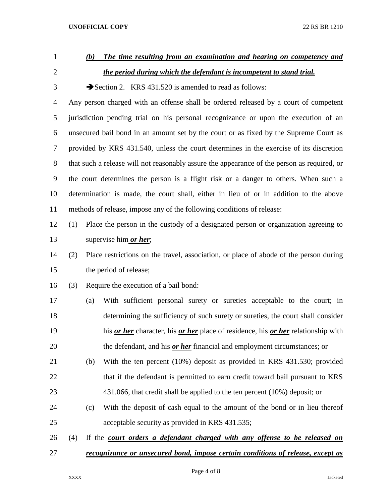| $\mathbf{1}$   | The time resulting from an examination and hearing on competency and<br>(b)                 |     |                                                                                        |  |
|----------------|---------------------------------------------------------------------------------------------|-----|----------------------------------------------------------------------------------------|--|
| $\overline{2}$ | the period during which the defendant is incompetent to stand trial.                        |     |                                                                                        |  |
| 3              | Section 2. KRS 431.520 is amended to read as follows:                                       |     |                                                                                        |  |
| 4              | Any person charged with an offense shall be ordered released by a court of competent        |     |                                                                                        |  |
| 5              | jurisdiction pending trial on his personal recognizance or upon the execution of an         |     |                                                                                        |  |
| 6              | unsecured bail bond in an amount set by the court or as fixed by the Supreme Court as       |     |                                                                                        |  |
| $\tau$         | provided by KRS 431.540, unless the court determines in the exercise of its discretion      |     |                                                                                        |  |
| 8              | that such a release will not reasonably assure the appearance of the person as required, or |     |                                                                                        |  |
| 9              | the court determines the person is a flight risk or a danger to others. When such a         |     |                                                                                        |  |
| 10             | determination is made, the court shall, either in lieu of or in addition to the above       |     |                                                                                        |  |
| 11             | methods of release, impose any of the following conditions of release:                      |     |                                                                                        |  |
| 12             | (1)                                                                                         |     | Place the person in the custody of a designated person or organization agreeing to     |  |
| 13             |                                                                                             |     | supervise him <i>or her</i> ;                                                          |  |
| 14             | (2)                                                                                         |     | Place restrictions on the travel, association, or place of abode of the person during  |  |
| 15             | the period of release;                                                                      |     |                                                                                        |  |
| 16             | (3)                                                                                         |     | Require the execution of a bail bond:                                                  |  |
| 17             |                                                                                             | (a) | With sufficient personal surety or sureties acceptable to the court; in                |  |
| 18             |                                                                                             |     | determining the sufficiency of such surety or sureties, the court shall consider       |  |
| 19             |                                                                                             |     | his or her character, his or her place of residence, his or her relationship with      |  |
| 20             |                                                                                             |     | the defendant, and his <i>or her</i> financial and employment circumstances; or        |  |
| 21             |                                                                                             | (b) | With the ten percent (10%) deposit as provided in KRS 431.530; provided                |  |
| 22             |                                                                                             |     | that if the defendant is permitted to earn credit toward bail pursuant to KRS          |  |
| 23             |                                                                                             |     | $431.066$ , that credit shall be applied to the ten percent $(10\%)$ deposit; or       |  |
| 24             |                                                                                             | (c) | With the deposit of cash equal to the amount of the bond or in lieu thereof            |  |
| 25             |                                                                                             |     | acceptable security as provided in KRS 431.535;                                        |  |
| 26             | (4)                                                                                         |     | If the court orders a defendant charged with any offense to be released on             |  |
| 27             |                                                                                             |     | <u>recognizance or unsecured bond, impose certain conditions of release, except as</u> |  |

Page 4 of 8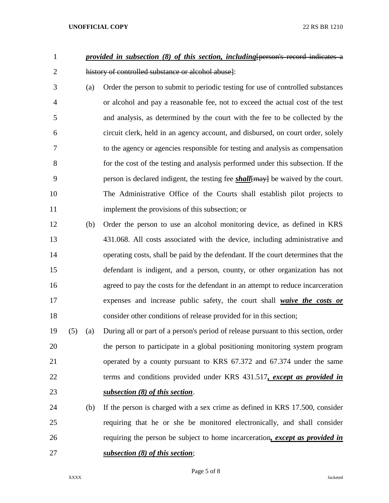- 1 *provided in subsection (8) of this section, including* [person's record indicates a history of controlled substance or alcohol abuse]:
- (a) Order the person to submit to periodic testing for use of controlled substances or alcohol and pay a reasonable fee, not to exceed the actual cost of the test and analysis, as determined by the court with the fee to be collected by the circuit clerk, held in an agency account, and disbursed, on court order, solely to the agency or agencies responsible for testing and analysis as compensation for the cost of the testing and analysis performed under this subsection. If the 9 person is declared indigent, the testing fee *shall*[may] be waived by the court. The Administrative Office of the Courts shall establish pilot projects to implement the provisions of this subsection; or
- (b) Order the person to use an alcohol monitoring device, as defined in KRS 431.068. All costs associated with the device, including administrative and operating costs, shall be paid by the defendant. If the court determines that the defendant is indigent, and a person, county, or other organization has not agreed to pay the costs for the defendant in an attempt to reduce incarceration expenses and increase public safety, the court shall *waive the costs or* consider other conditions of release provided for in this section;
- (5) (a) During all or part of a person's period of release pursuant to this section, order the person to participate in a global positioning monitoring system program operated by a county pursuant to KRS 67.372 and 67.374 under the same terms and conditions provided under KRS 431.517*, except as provided in subsection (8) of this section*.
- (b) If the person is charged with a sex crime as defined in KRS 17.500, consider requiring that he or she be monitored electronically, and shall consider requiring the person be subject to home incarceration*, except as provided in subsection (8) of this section*;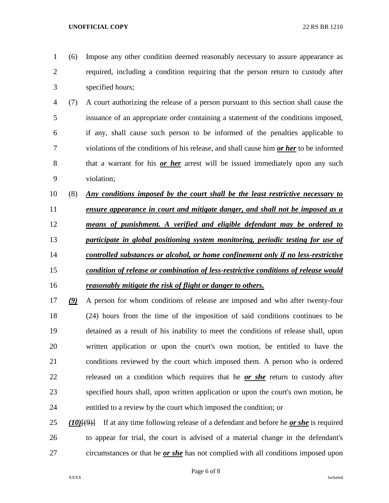(6) Impose any other condition deemed reasonably necessary to assure appearance as required, including a condition requiring that the person return to custody after specified hours;

- (7) A court authorizing the release of a person pursuant to this section shall cause the issuance of an appropriate order containing a statement of the conditions imposed, if any, shall cause such person to be informed of the penalties applicable to violations of the conditions of his release, and shall cause him *or her* to be informed that a warrant for his *or her* arrest will be issued immediately upon any such violation;
- (8) *Any conditions imposed by the court shall be the least restrictive necessary to*
- *ensure appearance in court and mitigate danger, and shall not be imposed as a means of punishment. A verified and eligible defendant may be ordered to participate in global positioning system monitoring, periodic testing for use of controlled substances or alcohol, or home confinement only if no less-restrictive condition of release or combination of less-restrictive conditions of release would reasonably mitigate the risk of flight or danger to others.*
- *(9)* A person for whom conditions of release are imposed and who after twenty-four (24) hours from the time of the imposition of said conditions continues to be detained as a result of his inability to meet the conditions of release shall, upon written application or upon the court's own motion, be entitled to have the conditions reviewed by the court which imposed them. A person who is ordered released on a condition which requires that he *or she* return to custody after specified hours shall, upon written application or upon the court's own motion, be entitled to a review by the court which imposed the condition; or
- *(10)*[(9)] If at any time following release of a defendant and before he *or she* is required to appear for trial, the court is advised of a material change in the defendant's circumstances or that he *or she* has not complied with all conditions imposed upon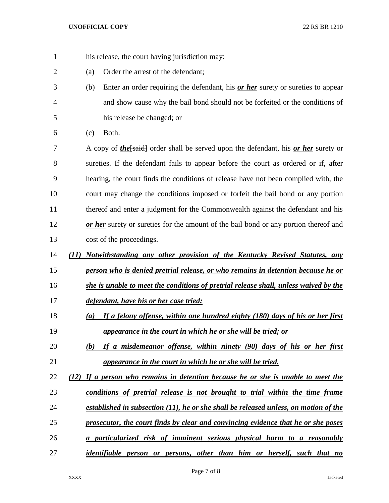- 1 his release, the court having jurisdiction may:
- (a) Order the arrest of the defendant;
- (b) Enter an order requiring the defendant, his *or her* surety or sureties to appear and show cause why the bail bond should not be forfeited or the conditions of his release be changed; or
- (c) Both.

7 A copy of *the*[said] order shall be served upon the defendant, his *or her* surety or sureties. If the defendant fails to appear before the court as ordered or if, after hearing, the court finds the conditions of release have not been complied with, the court may change the conditions imposed or forfeit the bail bond or any portion thereof and enter a judgment for the Commonwealth against the defendant and his *or her* surety or sureties for the amount of the bail bond or any portion thereof and cost of the proceedings.

- *(11) Notwithstanding any other provision of the Kentucky Revised Statutes, any*
- *person who is denied pretrial release, or who remains in detention because he or*
- *she is unable to meet the conditions of pretrial release shall, unless waived by the*
- *defendant, have his or her case tried:*
- *(a) If a felony offense, within one hundred eighty (180) days of his or her first appearance in the court in which he or she will be tried; or*
- *(b) If a misdemeanor offense, within ninety (90) days of his or her first appearance in the court in which he or she will be tried.*
- *(12) If a person who remains in detention because he or she is unable to meet the*
- *conditions of pretrial release is not brought to trial within the time frame*
- *established in subsection (11), he or she shall be released unless, on motion of the*
- *prosecutor, the court finds by clear and convincing evidence that he or she poses*
- *a particularized risk of imminent serious physical harm to a reasonably*
- *identifiable person or persons, other than him or herself, such that no*